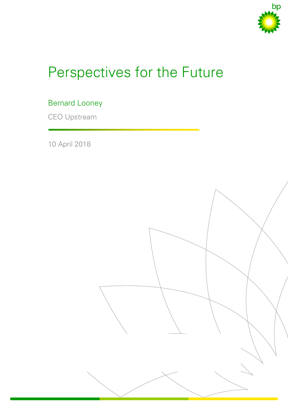

# Perspectives for the Future

# Bernard Looney

CEO Upstream

10 April 2018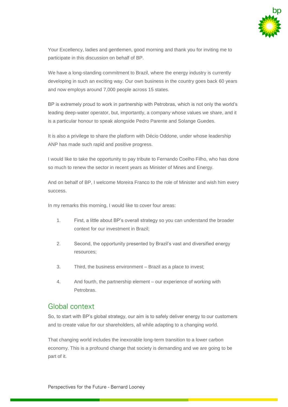

Your Excellency, ladies and gentlemen, good morning and thank you for inviting me to participate in this discussion on behalf of BP.

We have a long-standing commitment to Brazil, where the energy industry is currently developing in such an exciting way. Our own business in the country goes back 60 years and now employs around 7,000 people across 15 states.

BP is extremely proud to work in partnership with Petrobras, which is not only the world's leading deep-water operator, but, importantly, a company whose values we share, and it is a particular honour to speak alongside Pedro Parente and Solange Guedes.

It is also a privilege to share the platform with Décio Oddone, under whose leadership ANP has made such rapid and positive progress.

I would like to take the opportunity to pay tribute to Fernando Coelho Filho, who has done so much to renew the sector in recent years as Minister of Mines and Energy.

And on behalf of BP, I welcome Moreira Franco to the role of Minister and wish him every success.

In my remarks this morning, I would like to cover four areas:

- 1. First, a little about BP's overall strategy so you can understand the broader context for our investment in Brazil;
- 2. Second, the opportunity presented by Brazil's vast and diversified energy resources;
- 3. Third, the business environment Brazil as a place to invest;
- 4. And fourth, the partnership element our experience of working with Petrobras.

#### Global context

So, to start with BP's global strategy, our aim is to safely deliver energy to our customers and to create value for our shareholders, all while adapting to a changing world.

That changing world includes the inexorable long-term transition to a lower carbon economy. This is a profound change that society is demanding and we are going to be part of it.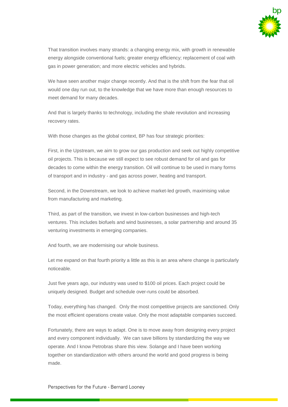

That transition involves many strands: a changing energy mix, with growth in renewable energy alongside conventional fuels; greater energy efficiency; replacement of coal with gas in power generation; and more electric vehicles and hybrids.

We have seen another major change recently. And that is the shift from the fear that oil would one day run out, to the knowledge that we have more than enough resources to meet demand for many decades.

And that is largely thanks to technology, including the shale revolution and increasing recovery rates.

With those changes as the global context, BP has four strategic priorities:

First, in the Upstream, we aim to grow our gas production and seek out highly competitive oil projects. This is because we still expect to see robust demand for oil and gas for decades to come within the energy transition. Oil will continue to be used in many forms of transport and in industry - and gas across power, heating and transport.

Second, in the Downstream, we look to achieve market-led growth, maximising value from manufacturing and marketing.

Third, as part of the transition, we invest in low-carbon businesses and high-tech ventures. This includes biofuels and wind businesses, a solar partnership and around 35 venturing investments in emerging companies.

And fourth, we are modernising our whole business.

Let me expand on that fourth priority a little as this is an area where change is particularly noticeable.

Just five years ago, our industry was used to \$100 oil prices. Each project could be uniquely designed. Budget and schedule over-runs could be absorbed.

Today, everything has changed. Only the most competitive projects are sanctioned. Only the most efficient operations create value. Only the most adaptable companies succeed.

Fortunately, there are ways to adapt. One is to move away from designing every project and every component individually. We can save billions by standardizing the way we operate. And I know Petrobras share this view. Solange and I have been working together on standardization with others around the world and good progress is being made.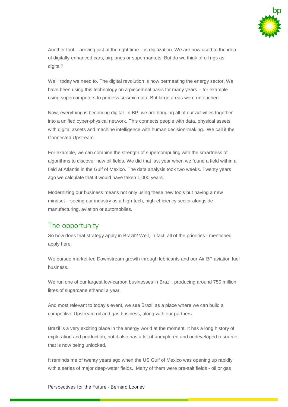

Another tool – arriving just at the right time – is digitization. We are now used to the idea of digitally-enhanced cars, airplanes or supermarkets. But do we think of oil rigs as digital?

Well, today we need to. The digital revolution is now permeating the energy sector. We have been using this technology on a piecemeal basis for many years – for example using supercomputers to process seismic data. But large areas were untouched.

Now, everything is becoming digital. In BP, we are bringing all of our activities together into a unified cyber-physical network. This connects people with data, physical assets with digital assets and machine intelligence with human decision-making. We call it the Connected Upstream.

For example, we can combine the strength of supercomputing with the smartness of algorithms to discover new oil fields. We did that last year when we found a field within a field at Atlantis in the Gulf of Mexico. The data analysis took two weeks. Twenty years ago we calculate that it would have taken 1,000 years.

Modernizing our business means not only using these new tools but having a new mindset – seeing our industry as a high-tech, high-efficiency sector alongside manufacturing, aviation or automobiles.

#### The opportunity

So how does that strategy apply in Brazil? Well, in fact, all of the priorities I mentioned apply here.

We pursue market-led Downstream growth through lubricants and our Air BP aviation fuel business.

We run one of our largest low-carbon businesses in Brazil, producing around 750 million litres of sugarcane ethanol a year.

And most relevant to today's event, we see Brazil as a place where we can build a competitive Upstream oil and gas business, along with our partners.

Brazil is a very exciting place in the energy world at the moment. It has a long history of exploration and production, but it also has a lot of unexplored and undeveloped resource that is now being unlocked.

It reminds me of twenty years ago when the US Gulf of Mexico was opening up rapidly with a series of major deep-water fields. Many of them were pre-salt fields - oil or gas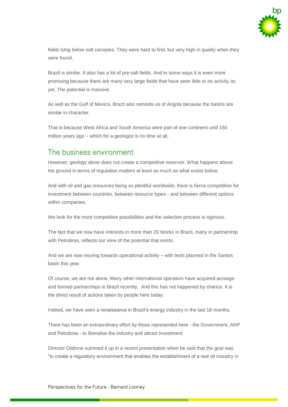

fields lying below salt canopies. They were hard to find, but very high in quality when they were found.

Brazil is similar. It also has a lot of pre-salt fields. And in some ways it is even more promising because there are many very large fields that have seen little or no activity as yet. The potential is massive.

As well as the Gulf of Mexico, Brazil also reminds us of Angola because the basins are similar in character.

That is because West Africa and South America were part of one continent until 150 million years ago – which for a geologist is no time at all.

## The business environment

However, geology alone does not create a competitive reservoir. What happens above the ground in terms of regulation matters at least as much as what exists below.

And with oil and gas resources being so plentiful worldwide, there is fierce competition for investment between countries, between resource types - and between different options within companies.

We look for the most competitive possibilities and the selection process is rigorous.

The fact that we now have interests in more than 20 blocks in Brazil, many in partnership with Petrobras, reflects our view of the potential that exists.

And we are now moving towards operational activity – with tests planned in the Santos basin this year.

Of course, we are not alone. Many other international operators have acquired acreage and formed partnerships in Brazil recently. And this has not happened by chance. It is the direct result of actions taken by people here today.

Indeed, we have seen a renaissance in Brazil's energy industry in the last 18 months.

There has been an extraordinary effort by those represented here - the Government, ANP and Petrobras - to liberalise the industry and attract investment.

Director Oddone summed it up in a recent presentation when he said that the goal was "to create a regulatory environment that enables the establishment of a real oil industry in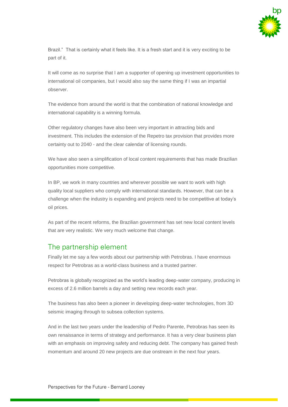

Brazil." That is certainly what it feels like. It is a fresh start and it is very exciting to be part of it.

It will come as no surprise that I am a supporter of opening up investment opportunities to international oil companies, but I would also say the same thing if I was an impartial observer.

The evidence from around the world is that the combination of national knowledge and international capability is a winning formula.

Other regulatory changes have also been very important in attracting bids and investment. This includes the extension of the Repetro tax provision that provides more certainty out to 2040 - and the clear calendar of licensing rounds.

We have also seen a simplification of local content requirements that has made Brazilian opportunities more competitive.

In BP, we work in many countries and wherever possible we want to work with high quality local suppliers who comply with international standards. However, that can be a challenge when the industry is expanding and projects need to be competitive at today's oil prices.

As part of the recent reforms, the Brazilian government has set new local content levels that are very realistic. We very much welcome that change.

## The partnership element

Finally let me say a few words about our partnership with Petrobras. I have enormous respect for Petrobras as a world-class business and a trusted partner.

Petrobras is globally recognized as the world's leading deep-water company, producing in excess of 2.6 million barrels a day and setting new records each year.

The business has also been a pioneer in developing deep-water technologies, from 3D seismic imaging through to subsea collection systems.

And in the last two years under the leadership of Pedro Parente, Petrobras has seen its own renaissance in terms of strategy and performance. It has a very clear business plan with an emphasis on improving safety and reducing debt. The company has gained fresh momentum and around 20 new projects are due onstream in the next four years.